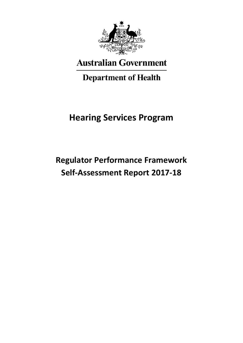

# **Australian Government**

# **Department of Health**

# **Hearing Services Program**

# **Regulator Performance Framework Self-Assessment Report 2017-18**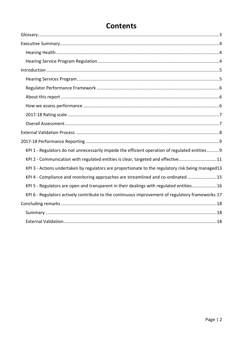| KPI 1 - Regulators do not unnecessarily impede the efficient operation of regulated entities 9    |
|---------------------------------------------------------------------------------------------------|
| KPI 2 - Communication with regulated entities is clear, targeted and effective11                  |
| KPI 3 - Actions undertaken by regulators are proportionate to the regulatory risk being managed13 |
| KPI 4 - Compliance and monitoring approaches are streamlined and co-ordinated15                   |
| KPI 5 - Regulators are open and transparent in their dealings with regulated entities16           |
| KPI 6 - Regulators actively contribute to the continuous improvement of regulatory frameworks.17  |
|                                                                                                   |
|                                                                                                   |
|                                                                                                   |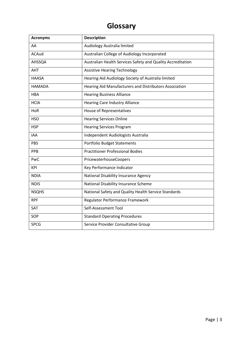## **Glossary**

<span id="page-2-0"></span>

| <b>Acronyms</b> | <b>Description</b>                                          |
|-----------------|-------------------------------------------------------------|
| AA              | Audiology Australia limited                                 |
| <b>ACAud</b>    | Australian College of Audiology Incorporated                |
| <b>AHSSQA</b>   | Australian Health Services Safety and Quality Accreditation |
| <b>AHT</b>      | <b>Assistive Hearing Technology</b>                         |
| <b>HAASA</b>    | Hearing Aid Audiology Society of Australia limited          |
| <b>HAMADA</b>   | Hearing Aid Manufacturers and Distributors Association      |
| <b>HBA</b>      | <b>Hearing Business Alliance</b>                            |
| <b>HCIA</b>     | <b>Hearing Care Industry Alliance</b>                       |
| HoR             | House of Representatives                                    |
| <b>HSO</b>      | <b>Hearing Services Online</b>                              |
| <b>HSP</b>      | <b>Hearing Services Program</b>                             |
| <b>IAA</b>      | Independent Audiologists Australia                          |
| <b>PBS</b>      | <b>Portfolio Budget Statements</b>                          |
| PPB             | <b>Practitioner Professional Bodies</b>                     |
| PwC             | PricewaterhouseCoopers                                      |
| <b>KPI</b>      | Key Performance Indicator                                   |
| <b>NDIA</b>     | National Disability Insurance Agency                        |
| <b>NDIS</b>     | National Disability Insurance Scheme                        |
| <b>NSQHS</b>    | National Safety and Quality Health Service Standards        |
| <b>RPF</b>      | Regulator Performance Framework                             |
| SAT             | Self-Assessment Tool                                        |
| SOP             | <b>Standard Operating Procedures</b>                        |
| <b>SPCG</b>     | Service Provider Consultative Group                         |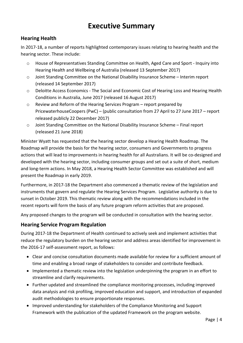## **Executive Summary**

## <span id="page-3-1"></span><span id="page-3-0"></span>**Hearing Health**

In 2017-18, a number of reports highlighted contemporary issues relating to hearing health and the hearing sector. These include:

- o House of Representatives Standing Committee on Health, Aged Care and Sport Inquiry into Hearing Health and Wellbeing of Australia (released 13 September 2017)
- o Joint Standing Committee on the National Disability Insurance Scheme Interim report (released 14 September 2017)
- o Deloitte Access Economics The Social and Economic Cost of Hearing Loss and Hearing Health Conditions in Australia, June 2017 (released 16 August 2017)
- o Review and Reform of the Hearing Services Program report prepared by PricewaterhouseCoopers (PwC) – (public consultation from 27 April to 27 June 2017 – report released publicly 22 December 2017)
- o Joint Standing Committee on the National Disability Insurance Scheme Final report (released 21 June 2018)

Minister Wyatt has requested that the hearing sector develop a Hearing Health Roadmap. The Roadmap will provide the basis for the hearing sector, consumers and Governments to progress actions that will lead to improvements in hearing health for all Australians. It will be co-designed and developed with the hearing sector, including consumer groups and set out a suite of short, medium and long-term actions. In May 2018, a Hearing Health Sector Committee was established and will present the Roadmap in early 2019.

Furthermore, in 2017-18 the Department also commenced a thematic review of the legislation and instruments that govern and regulate the Hearing Services Program. Legislative authority is due to sunset in October 2019. This thematic review along with the recommendations included in the recent reports will form the basis of any future program reform activities that are proposed.

Any proposed changes to the program will be conducted in consultation with the hearing sector.

## <span id="page-3-2"></span>**Hearing Service Program Regulation**

During 2017-18 the Department of Health continued to actively seek and implement activities that reduce the regulatory burden on the hearing sector and address areas identified for improvement in the 2016-17 self-assessment report, as follows:

- Clear and concise consultation documents made available for review for a sufficient amount of time and enabling a broad range of stakeholders to consider and contribute feedback.
- Implemented a thematic review into the legislation underpinning the program in an effort to streamline and clarify requirements.
- Further updated and streamlined the compliance monitoring processes, including improved data analysis and risk profiling, improved education and support, and introduction of expanded audit methodologies to ensure proportionate responses.
- Improved understanding for stakeholders of the Compliance Monitoring and Support Framework with the publication of the updated Framework on the program website.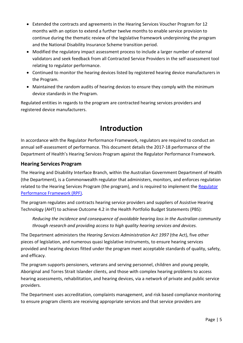- Extended the contracts and agreements in the Hearing Services Voucher Program for 12 months with an option to extend a further twelve months to enable service provision to continue during the thematic review of the legislative framework underpinning the program and the National Disability Insurance Scheme transition period.
- Modified the regulatory impact assessment process to include a larger number of external validators and seek feedback from all Contracted Service Providers in the self-assessment tool relating to regulator performance.
- Continued to monitor the hearing devices listed by registered hearing device manufacturers in the Program.
- Maintained the random audits of hearing devices to ensure they comply with the minimum device standards in the Program.

<span id="page-4-0"></span>Regulated entities in regards to the program are contracted hearing services providers and registered device manufacturers.

## **Introduction**

In accordance with the Regulator Performance Framework, regulators are required to conduct an annual self-assessment of performance. This document details the 2017-18 performance of the Department of Health's Hearing Services Program against the Regulator Performance Framework.

## <span id="page-4-1"></span>**Hearing Services Program**

The Hearing and Disability Interface Branch, within the Australian Government Department of Health (the Department), is a Commonwealth regulator that administers, monitors, and enforces regulation related to the Hearing Services Program (the program), and is required to implement the [Regulator](https://www.cuttingredtape.gov.au/resources/rpf)  [Performance Framework](https://www.cuttingredtape.gov.au/resources/rpf) (RPF).

The program regulates and contracts hearing service providers and suppliers of Assistive Hearing Technology (AHT) to achieve Outcome 4.2 in the Health Portfolio Budget Statements (PBS):

*Reducing the incidence and consequence of avoidable hearing loss in the Australian community through research and providing access to high quality hearing services and devices.*

The Department administers the *Hearing Services Administration Act 1997* (the Act), five other pieces of legislation, and numerous quasi legislative instruments, to ensure hearing services provided and hearing devices fitted under the program meet acceptable standards of quality, safety, and efficacy.

The program supports pensioners, veterans and serving personnel, children and young people, Aboriginal and Torres Strait Islander clients, and those with complex hearing problems to access hearing assessments, rehabilitation, and hearing devices, via a network of private and public service providers.

The Department uses accreditation, complaints management, and risk based compliance monitoring to ensure program clients are receiving appropriate services and that service providers are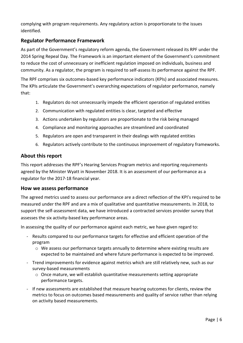complying with program requirements. Any regulatory action is proportionate to the issues identified.

### <span id="page-5-0"></span>**Regulator Performance Framework**

As part of the Government's regulatory reform agenda, the Government released its RPF under the 2014 Spring Repeal Day. The Framework is an important element of the Government's commitment to reduce the cost of unnecessary or inefficient regulation imposed on individuals, business and community. As a regulator, the program is required to self-assess its performance against the RPF.

The RPF comprises six outcomes-based key performance indicators (KPIs) and associated measures. The KPIs articulate the Government's overarching expectations of regulator performance, namely that:

- 1. Regulators do not unnecessarily impede the efficient operation of regulated entities
- 2. Communication with regulated entities is clear, targeted and effective
- 3. Actions undertaken by regulators are proportionate to the risk being managed
- 4. Compliance and monitoring approaches are streamlined and coordinated
- 5. Regulators are open and transparent in their dealings with regulated entities
- 6. Regulators actively contribute to the continuous improvement of regulatory frameworks.

### <span id="page-5-1"></span>**About this report**

This report addresses the RPF's Hearing Services Program metrics and reporting requirements agreed by the Minister Wyatt in November 2018. It is an assessment of our performance as a regulator for the 2017-18 financial year.

### <span id="page-5-2"></span>**How we assess performance**

The agreed metrics used to assess our performance are a direct reflection of the KPI's required to be measured under the RPF and are a mix of qualitative and quantitative measurements. In 2018, to support the self-assessment data, we have introduced a contracted services provider survey that assesses the six activity-based key performance areas.

In assessing the quality of our performance against each metric, we have given regard to:

- Results compared to our performance targets for effective and efficient operation of the program
	- $\circ$  We assess our performance targets annually to determine where existing results are expected to be maintained and where future performance is expected to be improved.
- Trend improvements for evidence against metrics which are still relatively new, such as our survey-based measurements
	- o Once mature, we will establish quantitative measurements setting appropriate performance targets.
- If new assessments are established that measure hearing outcomes for clients, review the metrics to focus on outcomes based measurements and quality of service rather than relying on activity based measurements.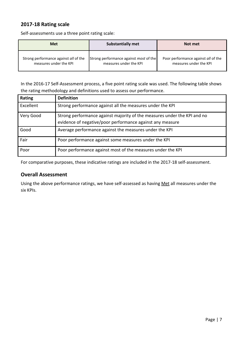## <span id="page-6-0"></span>**2017-18 Rating scale**

Self-assessments use a three point rating scale:

| <b>Met</b>                            | <b>Substantially met</b>                      | Not met                             |
|---------------------------------------|-----------------------------------------------|-------------------------------------|
| Strong performance against all of the | Strong performance against <i>most</i> of the | Poor performance against all of the |
| measures under the KPI                | measures under the KPI                        | measures under the KPI              |

In the 2016-17 Self-Assessment process, a five point rating scale was used. The following table shows the rating methodology and definitions used to assess our performance.

| Rating    | <b>Definition</b>                                                        |
|-----------|--------------------------------------------------------------------------|
| Excellent | Strong performance against all the measures under the KPI                |
| Very Good | Strong performance against majority of the measures under the KPI and no |
|           | evidence of negative/poor performance against any measure                |
| Good      | Average performance against the measures under the KPI                   |
| Fair      | Poor performance against some measures under the KPI                     |
| Poor      | Poor performance against most of the measures under the KPI              |

For comparative purposes, these indicative ratings are included in the 2017-18 self-assessment.

### <span id="page-6-1"></span>**Overall Assessment**

Using the above performance ratings, we have self-assessed as having Met all measures under the six KPIs.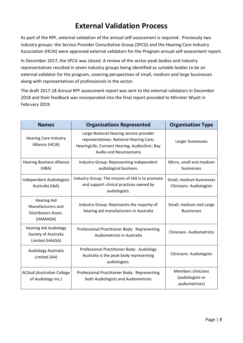## **External Validation Process**

<span id="page-7-0"></span>As part of the RPF, external validation of the annual self-assessment is required. Previously two industry groups: the Service Provider Consultative Group (SPCG) and the Hearing Care Industry Association (HCIA) were approved external validators for the Program annual self-assessment report.

In December 2017, the SPCG was closed. A review of the sector peak bodies and industry representatives resulted in seven industry groups being identified as suitable bodies to be an external validator for the program, covering perspectives of small, medium and large businesses along with representatives of professionals in the sector.

The draft 2017-18 Annual RPF assessment report was sent to the external validators in December 2018 and their feedback was incorporated into the final report provided to Minister Wyatt in February 2019.

| <b>Names</b>                                                               | <b>Organisations Represented</b>                                                                                                                               | <b>Organisation Type</b>                                        |
|----------------------------------------------------------------------------|----------------------------------------------------------------------------------------------------------------------------------------------------------------|-----------------------------------------------------------------|
| <b>Hearing Care Industry</b><br>Alliance (HCIA)                            | Large National Hearing service provider<br>representatives: National Hearing Care;<br>HearingLife; Connect Hearing; Audioclinic; Bay<br>Audio and Neurosensory | Larger businesses                                               |
| <b>Hearing Business Alliance</b><br>(HBA)                                  | Industry Group: Representing independent<br>audiological business.                                                                                             | Micro, small and medium<br>businesses                           |
| <b>Independent Audiologists</b><br>Australia (IAA)                         | Industry Group: The mission of IAA is to promote<br>and support clinical practices owned by<br>audiologists.                                                   | Small, medium businesses<br><b>Clinicians-Audiologists</b>      |
| <b>Hearing Aid</b><br>Manufacturers and<br>Distributors Assoc.<br>(HAMADA) | Industry Group: Represents the majority of<br>hearing aid manufacturers in Australia                                                                           | Small, medium and Large<br><b>Businesses</b>                    |
| <b>Hearing Aid Audiology</b><br>Society of Australia<br>Limited (HAASA)    | Professional Practitioner Body: Representing<br>Audiometrists in Australia                                                                                     | <b>Clinicians-Audiometrists</b>                                 |
| Audiology Australia<br>Limited (AA)                                        | Professional Practitioner Body: Audiology<br>Australia is the peak body representing<br>audiologists.                                                          | <b>Clinicians-Audiologists</b>                                  |
| <b>ACAud (Australian College</b><br>of Audiology Inc.)                     | Professional Practitioner Body: Representing<br>both Audiologists and Audiometrists                                                                            | <b>Members clinicians</b><br>(audiologists or<br>audiometrists) |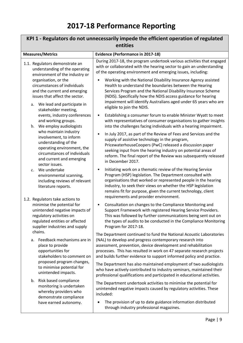# **2017-18 Performance Reporting**

<span id="page-8-1"></span><span id="page-8-0"></span>

| KPI 1 - Regulators do not unnecessarily impede the efficient operation of regulated<br>entities                                                                                                            |                                                                                                                                                                                                                                                                                                                                                                                   |  |
|------------------------------------------------------------------------------------------------------------------------------------------------------------------------------------------------------------|-----------------------------------------------------------------------------------------------------------------------------------------------------------------------------------------------------------------------------------------------------------------------------------------------------------------------------------------------------------------------------------|--|
| <b>Measures/Metrics</b>                                                                                                                                                                                    | <b>Evidence (Performance in 2017-18)</b>                                                                                                                                                                                                                                                                                                                                          |  |
| 1.1. Regulators demonstrate an<br>understanding of the operating<br>environment of the industry or                                                                                                         | During 2017-18, the program undertook various activities that engaged<br>with or collaborated with the hearing sector to gain an understanding<br>of the operating environment and emerging issues, including:                                                                                                                                                                    |  |
| organisation, or the<br>circumstances of individuals<br>and the current and emerging<br>issues that affect the sector.<br>We lead and participate in<br>a.<br>stakeholder meeting,                         | Working with the National Disability Insurance Agency assisted<br>Health to understand the boundaries between the Hearing<br>Services Program and the National Disability Insurance Scheme<br>(NDIS). Specifically how the NDIS access guidance for hearing<br>impairment will identify Australians aged under 65 years who are<br>eligible to join the NDIS.                     |  |
| events, industry conferences<br>and working groups.<br>b. We employ audiologists                                                                                                                           | Establishing a consumer forum to enable Minister Wyatt to meet<br>$\bullet$<br>with representatives of consumer organisations to gather insights<br>into the challenges facing individuals with a hearing impairment.                                                                                                                                                             |  |
| who maintain industry<br>involvement, to inform<br>understanding of the<br>operating environment, the<br>circumstances of individuals<br>and current and emerging<br>sector issues.                        | In July 2017, as part of the Review of Fees and Services and the<br>supply of assistive technology in the program,<br>PricewaterhouseCoopers (PwC) released a discussion paper<br>seeking input from the hearing industry on potential areas of<br>reform. The final report of the Review was subsequently released<br>in December 2017.                                          |  |
| We undertake<br>$c_{\cdot}$<br>environmental scanning,<br>including reviews of relevant<br>literature reports.                                                                                             | Initiating work on a thematic review of the Hearing Service<br>$\bullet$<br>Program (HSP) legislation. The Department consulted with<br>organisations that worked or represented people in the hearing<br>industry, to seek their views on whether the HSP legislation<br>remains fit for purpose, given the current technology, client<br>requirements and provider environment. |  |
| 1.2. Regulators take actions to<br>minimise the potential for<br>unintended negative impacts of<br>regulatory activities on<br>regulated entities or affected<br>supplier industries and supply<br>chains. | Consultation on changes to the Compliance Monitoring and<br>$\bullet$<br>Support Framework with registered Hearing Service Providers.<br>This was followed by further communications being sent out on<br>the types of audits to be conducted in the Compliance Monitoring<br>Program for 2017-18.                                                                                |  |
| Feedback mechanisms are in<br>а.<br>place to provide<br>opportunities for<br>stakeholders to comment on                                                                                                    | The Department continued to fund the National Acoustic Laboratories<br>(NAL) to develop and progress contemporary research into<br>assessment, prevention, device development and rehabilitation<br>processes. This has resulted in work on 47 separate research projects<br>and builds further evidence to support informed policy and practice.                                 |  |
| proposed program changes,<br>to minimise potential for<br>unintended impacts.                                                                                                                              | The Department has also maintained employment of two audiologists<br>who have actively contributed to industry seminars, maintained their<br>professional qualifications and participated in educational activities.                                                                                                                                                              |  |
| Risk based compliance<br>b.<br>monitoring is undertaken<br>whereby providers who<br>demonstrate compliance                                                                                                 | The Department undertook activities to minimise the potential for<br>unintended negative impacts caused by regulatory activities. These<br>included:                                                                                                                                                                                                                              |  |
| have earned autonomy.                                                                                                                                                                                      | The provision of up to date guidance information distributed<br>through industry professional magazines.                                                                                                                                                                                                                                                                          |  |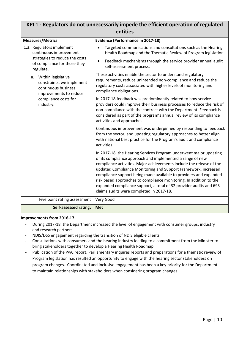## **KPI 1 - Regulators do not unnecessarily impede the efficient operation of regulated entities**

| <b>Measures/Metrics</b>                                                                                                                     | <b>Evidence (Performance in 2017-18)</b>                                                                                                                                                                                                                                                                                                                                                                                                                                                                                              |
|---------------------------------------------------------------------------------------------------------------------------------------------|---------------------------------------------------------------------------------------------------------------------------------------------------------------------------------------------------------------------------------------------------------------------------------------------------------------------------------------------------------------------------------------------------------------------------------------------------------------------------------------------------------------------------------------|
| 1.3. Regulators implement<br>continuous improvement                                                                                         | Targeted communications and consultations such as the Hearing<br>$\bullet$<br>Health Roadmap and the Thematic Review of Program legislation.                                                                                                                                                                                                                                                                                                                                                                                          |
| strategies to reduce the costs<br>of compliance for those they<br>regulate.                                                                 | Feedback mechanisms through the service provider annual audit<br>$\bullet$<br>self-assessment process.                                                                                                                                                                                                                                                                                                                                                                                                                                |
| Within legislative<br>a.<br>constraints, we implement<br>continuous business<br>improvements to reduce<br>compliance costs for<br>industry. | These activities enable the sector to understand regulatory<br>requirements, reduce unintended non-compliance and reduce the<br>regulatory costs associated with higher levels of monitoring and<br>compliance obligations.                                                                                                                                                                                                                                                                                                           |
|                                                                                                                                             | In 2017-18 feedback was predominantly related to how service<br>providers could improve their business processes to reduce the risk of<br>non-compliance with the contract with the Department. Feedback is<br>considered as part of the program's annual review of its compliance<br>activities and approaches.                                                                                                                                                                                                                      |
|                                                                                                                                             | Continuous improvement was underpinned by responding to feedback<br>from the sector, and updating regulatory approaches to better align<br>with national best practice for the Program's audit and compliance<br>activities.                                                                                                                                                                                                                                                                                                          |
|                                                                                                                                             | In 2017-18, the Hearing Services Program underwent major updating<br>of its compliance approach and implemented a range of new<br>compliance activities. Major achievements include the release of the<br>updated Compliance Monitoring and Support Framework, increased<br>compliance support being made available to providers and expanded<br>risk based approaches to compliance monitoring. In addition to the<br>expanded compliance support, a total of 32 provider audits and 693<br>claims audits were completed in 2017-18. |
| Five point rating assessment                                                                                                                | Very Good                                                                                                                                                                                                                                                                                                                                                                                                                                                                                                                             |
| <b>Self-assessed rating:</b>                                                                                                                | <b>Met</b>                                                                                                                                                                                                                                                                                                                                                                                                                                                                                                                            |

### **Improvements from 2016-17**

- During 2017-18, the Department increased the level of engagement with consumer groups, industry and research partners.
- NDIS/DSS engagement regarding the transition of NDIS eligible clients.
- Consultations with consumers and the hearing industry leading to a commitment from the Minister to bring stakeholders together to develop a Hearing Health Roadmap.
- Publication of the PwC report, Parliamentary inquires reports and preparations for a thematic review of Program legislation has resulted an opportunity to engage with the hearing sector stakeholders on program changes. Coordinated and inclusive engagement has been a key priority for the Department to maintain relationships with stakeholders when considering program changes.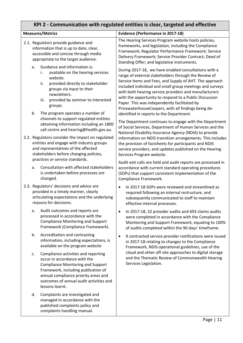#### <span id="page-10-0"></span>**KPI 2 - Communication with regulated entities is clear, targeted and effective Measures/Metrics Evidence (Performance in 2017-18)** 2.1. Regulators provide guidance and information that is up to date, clear, accessible and concise through media appropriate to the target audience. a. Guidance and information is: i. available on the hearing services website. ii. provided directly to stakeholder groups via input to their newsletters. iii. provided by seminar to interested groups. b. The program operates a number of channels to support regulated entities obtaining information including an 1800 call centre and hearing@health.gov.au. 2.2. Regulators consider the impact on regulated entities and engage with industry groups and representatives of the affected stakeholders before changing policies, practices or service standards. a. Consultation with affected stakeholders is undertaken before processes are changed. 2.3. Regulators' decisions and advice are provided in a timely manner, clearly articulating expectations and the underlying reasons for decisions. a. Audit outcomes and reports are processed in accordance with the Compliance Monitoring and Support Framework (Compliance Framework). b. Accreditation and contracting information, including expectations, is available on the program website c. Compliance activities and reporting occur in accordance with the Compliance Monitoring and Support Framework, including publication of annual compliance priority areas and outcomes of annual audit activities and lessons learnt. d. Complaints are investigated and managed in accordance with the The Hearing Services Program website hosts policies, frameworks, an[d legislation,](http://hearingservices.gov.au/wps/portal/hso/site/about/legislation/!ut/p/a1/lVFNU4MwEP0reugxkwUCpMdMPxBqYRyrApdOoHxEgVCbOvbfNzgevIiyt915-_btezjFMU47_iEqroTseDP0qbPfPNiO4YO5oc_RGhgLn-6DNTEhAvyCU5zmnepVjZP6JG9y2amiUzPoz1kj8hnUsi1mwDN51sOmqMSp-WIfFvtcHHBik0PuOK6DDMPliJCSoAyIgUqXWtmcA-GFqZUkWgn8Ugz-JXQEAvY3YOREojW4e5Mu2d2cGH608lfAFt4u8KhveksbP058apxwB5MJg79s0Daa79vFttK0XNVIdKXE8c9YNEK8Ho8p07kOWX4qHE8Ltm9bal3QWxmGiGf0YjXV7RWgnYVj/dl5/d5/L2dBISEvZ0FBIS9nQSEh/) including th[e Compliance](http://www.hearingservices.gov.au/wps/wcm/connect/hso/hso+content/public/home/hearing_professionals/audit/audit_compliance_framework_report)  [Framework;](http://www.hearingservices.gov.au/wps/wcm/connect/hso/hso+content/public/home/hearing_professionals/audit/audit_compliance_framework_report) [Regulator Performance Framework;](http://hearingservices.gov.au/wps/portal/hso/site/about/whoarewe/deregulation/reg_peformance_framework/!ut/p/a1/tVLLbsJADPyVXnJcrcmb44pXAwVUlZYkl8gJG5JCdkO6NOXvWapW6oW0HOqTbVnjsWdoTEMaC3wvt6hKKXB_qWM3mT06bi8Ac-a_LMfA2OL5YTq2TVgCXdOYxplQtSpoVLzJu0wKxYUyoD6m-zIzoJAVNwBTedTNtpDY8FY3Nrzh2-P-c5EBOk9qnsumQpHxJG-w4q1sdhf0Ois3NLItC3s5psTro0ds284IcscjjpduXOD93HctTTfSdOFKMPjTNR0j4HwNdKyINAcvMf0hu-_bvWA5CkbABpPVdOIH5mTo0Kcbj-oGXMHNgNPf3qDfaDbzwXyrYVEVpBS5pOG3djT8qR0Nr2qnYcrXwyFm2iEXV3woGv6DReqq8q0T2eWLBcHUP7V8zc6WJAXV/dl5/d5/L2dBISEvZ0FBIS9nQSEh/) [Service](http://www.hearingservices.gov.au/wps/portal/hso/site/about/whoarewe/service_delivery_framework/!ut/p/a1/rVJNb8IwDP0r24FjFCekXThWfK0wQNPY1vZSpSXQDNqUElr490ul7bhuSPPNlv38np9xhAMcFaJWO2GULsShzSM3nj87LvGBzvnbagKet3x9mk0YhRXgdxzhKC1MaTIcZid9l-rCyML0oDwnB5X2INO57IFI9NkWm0yLSja2cJJVrVIZb-RB1bK6xttK5LLR1b5FLFO1wWEyEJwIRhBxXYYYACDONy5K-owLIjkjKbUUQ0sRfggP_qSgowWcr4aOFaHl8BBTPvIeB4z4q7E_Bm84Xc-m3KfTkYNfbhTVDbiGmwFnv53BnpFWi-FiZ2GFyZAqthoH337hoMMvO6o-jsfIs5_Qun8xOPinVyjznPevaL9dLpFI-PXihPef5dtwlA!!/dl5/d5/L2dBISEvZ0FBIS9nQSEh/)  [Delivery Framework;](http://www.hearingservices.gov.au/wps/portal/hso/site/about/whoarewe/service_delivery_framework/!ut/p/a1/rVJNb8IwDP0r24FjFCekXThWfK0wQNPY1vZSpSXQDNqUElr490ul7bhuSPPNlv38np9xhAMcFaJWO2GULsShzSM3nj87LvGBzvnbagKet3x9mk0YhRXgdxzhKC1MaTIcZid9l-rCyML0oDwnB5X2INO57IFI9NkWm0yLSja2cJJVrVIZb-RB1bK6xttK5LLR1b5FLFO1wWEyEJwIRhBxXYYYACDONy5K-owLIjkjKbUUQ0sRfggP_qSgowWcr4aOFaHl8BBTPvIeB4z4q7E_Bm84Xc-m3KfTkYNfbhTVDbiGmwFnv53BnpFWi-FiZ2GFyZAqthoH337hoMMvO6o-jsfIs5_Qun8xOPinVyjznPevaL9dLpFI-PXihPef5dtwlA!!/dl5/d5/L2dBISEvZ0FBIS9nQSEh/) [Service Provider Contract;](http://hearingservices.gov.au/wps/portal/hso/site/about/legislation/!ut/p/a1/lVFNU4MwEP0reugxkwUCpMdMPxBqYRyrApdOoHxEgVCbOvbfNzgevIiyt915-_btezjFMU47_iEqroTseDP0qbPfPNiO4YO5oc_RGhgLn-6DNTEhAvyCU5zmnepVjZP6JG9y2amiUzPoz1kj8hnUsi1mwDN51sOmqMSp-WIfFvtcHHBik0PuOK6DDMPliJCSoAyIgUqXWtmcA-GFqZUkWgn8Ugz-JXQEAvY3YOREojW4e5Mu2d2cGH608lfAFt4u8KhveksbP058apxwB5MJg79s0Daa79vFttK0XNVIdKXE8c9YNEK8Ho8p07kOWX4qHE8Ltm9bal3QWxmGiGf0YjXV7RWgnYVj/dl5/d5/L2dBISEvZ0FBIS9nQSEh/) [Deed of](http://hearingservices.gov.au/wps/portal/hso/site/prof/manufacturers/deed_standing_offer/!ut/p/a1/tZLLbsMgEEV_pV1kiSAEO3RppYnrPFX1ZXtjYQwxbQyOjavk74Orbiq1abMoC6SRLoc7MxemMIapZu9qy6wymu36OvWzxb3nDyOEF_R5M0NBsH5azmcEo5DAF5jClGtb2xImZWuuuNFWaDtAdZfvFB-g0lTC3YI1Sm-zujFStO0HvR2giulOMm67RjSuLIQostYyXfRaI6Voen7NVQETNuKUDPMCoFHhA0IYATnHFHB_TCWnlGPPc4YTZxj9cAL0p37OSJD3KTjzReI8jDNMb4O7GzKMNtNoioJJ-DgPaYRDZ_LhwqbOA5foYuD8tzG4MeJmNVltHZbZEigtDYy_bAvG323LPVSv-30auFT0SThYGP9LLOqqoqMjeJPrNWA5PR685PoEoop59w!!/dl5/d5/L2dBISEvZ0FBIS9nQSEh/)  [Standing Offer;](http://hearingservices.gov.au/wps/portal/hso/site/prof/manufacturers/deed_standing_offer/!ut/p/a1/tZLLbsMgEEV_pV1kiSAEO3RppYnrPFX1ZXtjYQwxbQyOjavk74Orbiq1abMoC6SRLoc7MxemMIapZu9qy6wymu36OvWzxb3nDyOEF_R5M0NBsH5azmcEo5DAF5jClGtb2xImZWuuuNFWaDtAdZfvFB-g0lTC3YI1Sm-zujFStO0HvR2giulOMm67RjSuLIQostYyXfRaI6Voen7NVQETNuKUDPMCoFHhA0IYATnHFHB_TCWnlGPPc4YTZxj9cAL0p37OSJD3KTjzReI8jDNMb4O7GzKMNtNoioJJ-DgPaYRDZ_LhwqbOA5foYuD8tzG4MeJmNVltHZbZEigtDYy_bAvG323LPVSv-30auFT0SThYGP9LLOqqoqMjeJPrNWA5PR685PoEoop59w!!/dl5/d5/L2dBISEvZ0FBIS9nQSEh/) and legislative instruments. During 2017-18, we have enabled consultations with a range of external stakeholders through the Review of [Service Items and Fees,](http://www.hearingservices.gov.au/wps/portal/hso/site/about/national%20disability%20insurance%20scheme/review%20of%20services%20items%20and%20fees/!ut/p/a1/vZFLc4IwFIX_SrpwmUkKROOS8VW06nRqW2DjhBAkLSRIoq3_vmHGbX1smt3NnDnnfvegFMUoVewod8xKrVjVzWl_u3gh_ccIewv6vp7iMFy9Pc-ngYfXGH2gFKVc2caWKCmNBlwrK5Tt4eaQVZL3cKlr0cMs0wf3qc7GIJeGZbKS9gSkMoeWKS6A4aXoxK04SvENdAGMaI-SCwOkFbUBTOWgEMJ0oQ2XOUpYnw4opwHMic9hEJAMDv3ch0FBMGOEDLPccxSJo8B_vBDfBHlBgslZcCEicTsMth4dh0_D4DFaT6IJDkezzXxGI282Juj1TqjLhht8t-H82hncGeXnfp-GrvGu5R-L4v-r3KV77XK03DkoZksoVaFRfIs7iq-7N3VN_RP8KlYryDJ68qvdwy_w1DZq/dl5/d5/L2dBISEvZ0FBIS9nQSEh/) and Supply of AHT. The approach included individual and small group meetings and surveys with both hearing service providers and manufacturers with the opportunity to respond to a Public Discussion Paper. This was independently facilitated by PricewaterhouseCoopers, with all findings being deidentified in reports to the Department. The Department continues to engage with the Department of Social Services, Department of Human Services and the National Disability Insurance Agency (NDIA) to provide information on NDIS transition arrangements. This includes the provision of factsheets for participants and NDIS service providers, and updates published on the Hearing Services Program website. Audit exit calls are held and audit reports are processed in accordance with current standard operating procedures (SOPs) that support consistent implementation of the Compliance Framework. In 2017-18 SOPs were reviewed and streamlined as required following an internal restructure, and subsequently communicated to staff to maintain effective internal processes. • In 2017-18, 32 provider audits and 693 claims audits were completed in accordance with the Compliance Monitoring and Support Framework, equating to 100% of audits completed within the 90 days' timeframe. • 9 contracted service provider notifications were issued in 2017-18 relating to changes to the Compliance Framework, NDIS operational guidelines, use of the cloud and other off-site approaches to digital storage and the Thematic Review of Commonwealth Hearing Services Legislation.

published complaints policy and complaints handling manual.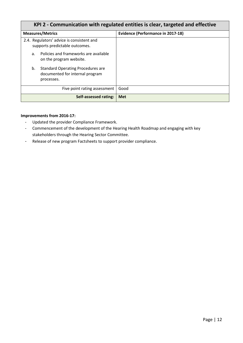| KPI 2 - Communication with regulated entities is clear, targeted and effective                  |                                          |
|-------------------------------------------------------------------------------------------------|------------------------------------------|
| <b>Measures/Metrics</b>                                                                         | <b>Evidence (Performance in 2017-18)</b> |
| 2.4. Regulators' advice is consistent and<br>supports predictable outcomes.                     |                                          |
| Policies and frameworks are available<br>a.<br>on the program website.                          |                                          |
| <b>Standard Operating Procedures are</b><br>b.<br>documented for internal program<br>processes. |                                          |
| Five point rating assessment                                                                    | Good                                     |
| Self-assessed rating:                                                                           | <b>Met</b>                               |

- Updated the provider Compliance Framework.
- Commencement of the development of the Hearing Health Roadmap and engaging with key stakeholders through the Hearing Sector Committee.
- Release of new program Factsheets to support provider compliance.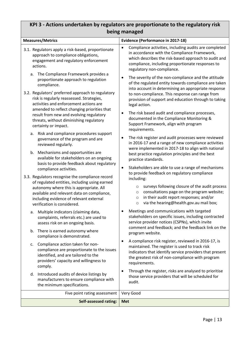## <span id="page-12-0"></span>**KPI 3 - Actions undertaken by regulators are proportionate to the regulatory risk being managed**

| <b>Measures/Metrics</b>                                                                                                                                                                                                                                                                                                                                                                                   | <b>Evidence (Performance in 2017-18)</b>                                                                                                                                                                                                                                                                                                                                                                                                                          |
|-----------------------------------------------------------------------------------------------------------------------------------------------------------------------------------------------------------------------------------------------------------------------------------------------------------------------------------------------------------------------------------------------------------|-------------------------------------------------------------------------------------------------------------------------------------------------------------------------------------------------------------------------------------------------------------------------------------------------------------------------------------------------------------------------------------------------------------------------------------------------------------------|
| 3.1. Regulators apply a risk-based, proportionate<br>approach to compliance obligations,<br>engagement and regulatory enforcement<br>actions.                                                                                                                                                                                                                                                             | Compliance activities, including audits are completed<br>$\bullet$<br>in accordance with the Compliance Framework,<br>which describes the risk-based approach to audit and<br>compliance, including proportionate responses to<br>regulatory non-compliance.                                                                                                                                                                                                      |
| The Compliance Framework provides a<br>a.<br>proportionate approach to regulation<br>compliance.<br>3.2. Regulators' preferred approach to regulatory<br>risk is regularly reassessed. Strategies,<br>activities and enforcement actions are<br>amended to reflect changing priorities that<br>result from new and evolving regulatory<br>threats, without diminishing regulatory<br>certainty or impact. | The severity of the non-compliance and the attitude<br>٠<br>of the regulated entity towards compliance are taken<br>into account in determining an appropriate response<br>to non-compliance. This response can range from<br>provision of support and education through to taking<br>legal action.<br>The risk based audit and compliance processes,<br>٠<br>documented in the Compliance Monitoring &<br>Support Framework, align with program<br>requirements. |
| Risk and compliance procedures support<br>a.<br>governance of the program and are<br>reviewed regularly.<br>b. Mechanisms and opportunities are<br>available for stakeholders on an ongoing<br>basis to provide feedback about regulatory<br>compliance activities.                                                                                                                                       | The risk register and audit processes were reviewed<br>٠<br>in 2016-17 and a range of new compliance activities<br>were implemented in 2017-18 to align with national<br>best practice regulation principles and the best<br>practice standards.<br>Stakeholders are able to use a range of mechanisms<br>٠                                                                                                                                                       |
| 3.3. Regulators recognise the compliance record<br>of regulated entities, including using earned<br>autonomy where this is appropriate. All<br>available and relevant data on compliance,<br>including evidence of relevant external<br>verification is considered.                                                                                                                                       | to provide feedback on regulatory compliance<br>including:<br>surveys following closure of the audit process<br>$\circ$<br>consultations page on the program website;<br>$\circ$<br>in their audit report responses; and/or<br>$\circ$<br>via the hearing@health.gov.au mail box;<br>$\circ$                                                                                                                                                                      |
| Multiple indicators (claiming data,<br>a.<br>complaints, referrals etc.) are used to<br>assess risk on an ongoing basis.                                                                                                                                                                                                                                                                                  | Meetings and communications with targeted<br>stakeholders on specific issues, including contracted<br>service provider notices (CSPNs), which invite<br>comment and feedback; and the feedback link on the                                                                                                                                                                                                                                                        |
| There is earned autonomy where<br>b.<br>compliance is demonstrated.                                                                                                                                                                                                                                                                                                                                       | program website.                                                                                                                                                                                                                                                                                                                                                                                                                                                  |
| Compliance action taken for non-<br>c.<br>compliance are proportionate to the issues<br>identified, and are tailored to the<br>providers' capacity and willingness to<br>comply.                                                                                                                                                                                                                          | A compliance risk register, reviewed in 2016-17, is<br>٠<br>maintained. The register is used to track risk<br>indicators that identify service providers that present<br>the greatest risk of non-compliance with program<br>requirements.                                                                                                                                                                                                                        |
| d. Introduced audits of device listings by<br>manufacturers to ensure compliance with<br>the minimum specifications.                                                                                                                                                                                                                                                                                      | Through the register, risks are analysed to prioritise<br>$\bullet$<br>those service providers that will be scheduled for<br>audit.                                                                                                                                                                                                                                                                                                                               |
| Five point rating assessment                                                                                                                                                                                                                                                                                                                                                                              | Very Good                                                                                                                                                                                                                                                                                                                                                                                                                                                         |
| <b>Self-assessed rating:</b>                                                                                                                                                                                                                                                                                                                                                                              | <b>Met</b>                                                                                                                                                                                                                                                                                                                                                                                                                                                        |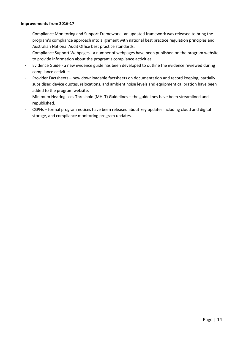- Compliance Monitoring and Support Framework an updated framework was released to bring the program's compliance approach into alignment with national best practice regulation principles and Australian National Audit Office best practice standards.
- Compliance Support Webpages a number of webpages have been published on the program website to provide information about the program's compliance activities.
- Evidence Guide a new evidence guide has been developed to outline the evidence reviewed during compliance activities.
- Provider Factsheets new downloadable factsheets on documentation and record keeping, partially subsidised device quotes, relocations, and ambient noise levels and equipment calibration have been added to the program website.
- Minimum Hearing Loss Threshold (MHLT) Guidelines the guidelines have been streamlined and republished.
- CSPNs formal program notices have been released about key updates including cloud and digital storage, and compliance monitoring program updates.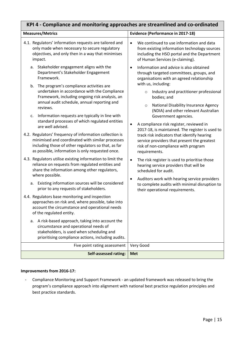<span id="page-14-0"></span>

| KPI 4 - Compliance and monitoring approaches are streamlined and co-ordinated                                                                                                                                                                                                                 |                                                                                                                                                                                                                                                               |  |
|-----------------------------------------------------------------------------------------------------------------------------------------------------------------------------------------------------------------------------------------------------------------------------------------------|---------------------------------------------------------------------------------------------------------------------------------------------------------------------------------------------------------------------------------------------------------------|--|
| <b>Measures/Metrics</b>                                                                                                                                                                                                                                                                       | <b>Evidence (Performance in 2017-18)</b>                                                                                                                                                                                                                      |  |
| 4.1. Regulators' information requests are tailored and<br>only made when necessary to secure regulatory<br>objectives, and only then in a way that minimises<br>impact.                                                                                                                       | We continued to use information and data<br>$\bullet$<br>from existing information technology sources<br>including the HSO portal and the Department<br>of Human Services (e-claiming).                                                                       |  |
| a. Stakeholder engagement aligns with the<br>Department's Stakeholder Engagement<br>Framework.<br>The program's compliance activities are<br>b.<br>undertaken in accordance with the Compliance                                                                                               | Information and advice is also obtained<br>$\bullet$<br>through targeted committees, groups, and<br>organisations with an agreed relationship<br>with us, including:<br>Industry and practitioner professional<br>$\circ$                                     |  |
| Framework, including ongoing risk analysis, an<br>annual audit schedule, annual reporting and<br>reviews.<br>Information requests are typically in line with<br>c.                                                                                                                            | bodies; and<br>National Disability Insurance Agency<br>$\circ$<br>(NDIA) and other relevant Australian<br>Government agencies.                                                                                                                                |  |
| standard processes of which regulated entities<br>are well advised.<br>4.2. Regulators' frequency of information collection is<br>minimised and coordinated with similar processes<br>including those of other regulators so that, as far<br>as possible, information is only requested once. | A compliance risk register, reviewed in<br>$\bullet$<br>2017-18, is maintained. The register is used to<br>track risk indicators that identify hearing<br>service providers that present the greatest<br>risk of non-compliance with program<br>requirements. |  |
| 4.3. Regulators utilise existing information to limit the<br>reliance on requests from regulated entities and<br>share the information among other regulators,<br>where possible.                                                                                                             | The risk register is used to prioritise those<br>$\bullet$<br>hearing service providers that will be<br>scheduled for audit.                                                                                                                                  |  |
| Existing information sources will be considered<br>a.<br>prior to any requests of stakeholders.                                                                                                                                                                                               | Auditors work with hearing service providers<br>$\bullet$<br>to complete audits with minimal disruption to<br>their operational requirements.                                                                                                                 |  |
| 4.4. Regulators base monitoring and inspection<br>approaches on risk and, where possible, take into<br>account the circumstance and operational needs<br>of the regulated entity.                                                                                                             |                                                                                                                                                                                                                                                               |  |
| A risk-based approach, taking into account the<br>а.<br>circumstance and operational needs of<br>stakeholders, is used when scheduling and<br>prioritising compliance actions, including audits.                                                                                              |                                                                                                                                                                                                                                                               |  |
| Five point rating assessment                                                                                                                                                                                                                                                                  | Very Good                                                                                                                                                                                                                                                     |  |
| <b>Self-assessed rating:</b>                                                                                                                                                                                                                                                                  | <b>Met</b>                                                                                                                                                                                                                                                    |  |

- Compliance Monitoring and Support Framework - an updated framework was released to bring the program's compliance approach into alignment with national best practice regulation principles and best practice standards.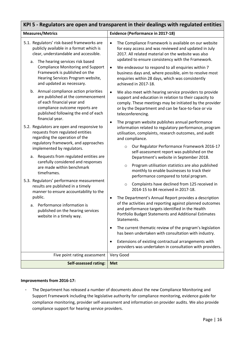<span id="page-15-0"></span>

| KPI 5 - Regulators are open and transparent in their dealings with regulated entities                                                                                                                                                                                                                                  |                                                                                                                                                                                                                                                                                                                                                                                                                                              |  |
|------------------------------------------------------------------------------------------------------------------------------------------------------------------------------------------------------------------------------------------------------------------------------------------------------------------------|----------------------------------------------------------------------------------------------------------------------------------------------------------------------------------------------------------------------------------------------------------------------------------------------------------------------------------------------------------------------------------------------------------------------------------------------|--|
| <b>Measures/Metrics</b>                                                                                                                                                                                                                                                                                                | <b>Evidence (Performance in 2017-18)</b>                                                                                                                                                                                                                                                                                                                                                                                                     |  |
| 5.1. Regulators' risk-based frameworks are<br>publicly available in a format which is<br>clear, understandable and accessible.<br>The hearing services risk based<br>a.<br><b>Compliance Monitoring and Support</b><br>Framework is published on the<br>Hearing Services Program website,<br>and updated as necessary. | The Compliance Framework is available on our website<br>$\bullet$<br>for easy access and was reviewed and updated in July<br>2017. All related material on the website was also<br>updated to ensure consistency with the Framework.<br>We endeavour to respond to all enquiries within 7<br>$\bullet$<br>business days and, where possible, aim to resolve most<br>enquiries within 28 days, which was consistently<br>achieved in 2017-18. |  |
| b. Annual compliance action priorities<br>are published at the commencement<br>of each financial year and<br>compliance outcome reports are<br>published following the end of each                                                                                                                                     | We also meet with hearing service providers to provide<br>$\bullet$<br>support and education in relation to their capacity to<br>comply. These meetings may be initiated by the provider<br>or by the Department and can be face-to-face or via<br>teleconferencing.                                                                                                                                                                         |  |
| financial year.<br>5.2. Regulators are open and responsive to<br>requests from regulated entities<br>regarding the operation of the<br>regulatory framework, and approaches<br>implemented by regulators.                                                                                                              | The program website publishes annual performance<br>$\bullet$<br>information related to regulatory performance, program<br>utilisation, complaints, research outcomes, and audit<br>and compliance.<br>Our Regulator Performance Framework 2016-17<br>$\circ$                                                                                                                                                                                |  |
| Requests from regulated entities are<br>a.<br>carefully considered and responses<br>are made within benchmark<br>timeframes.                                                                                                                                                                                           | self-assessment report was published on the<br>Department's website in September 2018.<br>Program utilisation statistics are also published<br>$\circ$<br>monthly to enable businesses to track their<br>performance compared to total program.                                                                                                                                                                                              |  |
| 5.3. Regulators' performance measurement<br>results are published in a timely<br>manner to ensure accountability to the<br>public.<br>a. Performance information is                                                                                                                                                    | Complaints have declined from 125 received in<br>$\circ$<br>2014-15 to 84 received in 2017-18.<br>The Department's Annual Report provides a description<br>of the activities and reporting against planned outcomes<br>and performance targets identified in the Health                                                                                                                                                                      |  |
| published on the hearing services<br>website in a timely way.                                                                                                                                                                                                                                                          | Portfolio Budget Statements and Additional Estimates<br>Statements.<br>The current thematic review of the program's legislation<br>has been undertaken with consultation with industry.<br>Extensions of existing contractual arrangements with<br>٠                                                                                                                                                                                         |  |
|                                                                                                                                                                                                                                                                                                                        | providers was undertaken in consultation with providers.                                                                                                                                                                                                                                                                                                                                                                                     |  |
| Five point rating assessment                                                                                                                                                                                                                                                                                           | Very Good                                                                                                                                                                                                                                                                                                                                                                                                                                    |  |
| <b>Self-assessed rating:</b>                                                                                                                                                                                                                                                                                           | <b>Met</b>                                                                                                                                                                                                                                                                                                                                                                                                                                   |  |

- The Department has released a number of documents about the new Compliance Monitoring and Support Framework including the legislative authority for compliance monitoring, evidence guide for compliance monitoring, provider self-assessment and information on provider audits. We also provide compliance support for hearing service providers.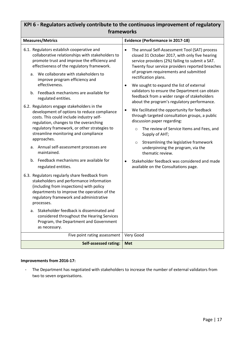## <span id="page-16-0"></span>**KPI 6 - Regulators actively contribute to the continuous improvement of regulatory frameworks**

| <b>Measures/Metrics</b>                                                                                                                                                                                                                                                                                                                                                                                                                                                                                                                                                                                                                                   | <b>Evidence (Performance in 2017-18)</b>                                                                                                                                                                                                                                                                                                                                                                                                                                                                                                                                                                                                                                                                                                                                 |
|-----------------------------------------------------------------------------------------------------------------------------------------------------------------------------------------------------------------------------------------------------------------------------------------------------------------------------------------------------------------------------------------------------------------------------------------------------------------------------------------------------------------------------------------------------------------------------------------------------------------------------------------------------------|--------------------------------------------------------------------------------------------------------------------------------------------------------------------------------------------------------------------------------------------------------------------------------------------------------------------------------------------------------------------------------------------------------------------------------------------------------------------------------------------------------------------------------------------------------------------------------------------------------------------------------------------------------------------------------------------------------------------------------------------------------------------------|
| 6.1. Regulators establish cooperative and<br>collaborative relationships with stakeholders to<br>promote trust and improve the efficiency and<br>effectiveness of the regulatory framework.<br>We collaborate with stakeholders to<br>a.<br>improve program efficiency and<br>effectiveness.<br>b. Feedback mechanisms are available for<br>regulated entities.<br>6.2. Regulators engage stakeholders in the<br>development of options to reduce compliance<br>costs. This could include industry self-<br>regulation, changes to the overarching<br>regulatory framework, or other strategies to<br>streamline monitoring and compliance<br>approaches. | The annual Self-Assessment Tool (SAT) process<br>$\bullet$<br>closed 31 October 2017, with only five hearing<br>service providers (2%) failing to submit a SAT.<br>Twenty four service providers reported breaches<br>of program requirements and submitted<br>rectification plans.<br>We sought to expand the list of external<br>$\bullet$<br>validators to ensure the Department can obtain<br>feedback from a wider range of stakeholders<br>about the program's regulatory performance.<br>We facilitated the opportunity for feedback<br>$\bullet$<br>through targeted consultation groups, a public<br>discussion paper regarding:<br>The review of Service Items and Fees, and<br>$\circ$<br>Supply of AHT;<br>Streamlining the legislative framework<br>$\circ$ |
| Annual self-assessment processes are<br>а.<br>maintained.                                                                                                                                                                                                                                                                                                                                                                                                                                                                                                                                                                                                 | underpinning the program, via the<br>thematic review.                                                                                                                                                                                                                                                                                                                                                                                                                                                                                                                                                                                                                                                                                                                    |
| b. Feedback mechanisms are available for<br>regulated entities.                                                                                                                                                                                                                                                                                                                                                                                                                                                                                                                                                                                           | Stakeholder feedback was considered and made<br>available on the Consultations page.                                                                                                                                                                                                                                                                                                                                                                                                                                                                                                                                                                                                                                                                                     |
| 6.3. Regulators regularly share feedback from<br>stakeholders and performance information<br>(including from inspections) with policy<br>departments to improve the operation of the<br>regulatory framework and administrative<br>processes.                                                                                                                                                                                                                                                                                                                                                                                                             |                                                                                                                                                                                                                                                                                                                                                                                                                                                                                                                                                                                                                                                                                                                                                                          |
| Stakeholder feedback is disseminated and<br>a.<br>considered throughout the Hearing Services<br>Program, the Department and Government<br>as necessary.                                                                                                                                                                                                                                                                                                                                                                                                                                                                                                   |                                                                                                                                                                                                                                                                                                                                                                                                                                                                                                                                                                                                                                                                                                                                                                          |
| Five point rating assessment                                                                                                                                                                                                                                                                                                                                                                                                                                                                                                                                                                                                                              | Very Good                                                                                                                                                                                                                                                                                                                                                                                                                                                                                                                                                                                                                                                                                                                                                                |
| <b>Self-assessed rating:</b>                                                                                                                                                                                                                                                                                                                                                                                                                                                                                                                                                                                                                              | <b>Met</b>                                                                                                                                                                                                                                                                                                                                                                                                                                                                                                                                                                                                                                                                                                                                                               |

### **Improvements from 2016-17:**

- The Department has negotiated with stakeholders to increase the number of external validators from two to seven organisations.